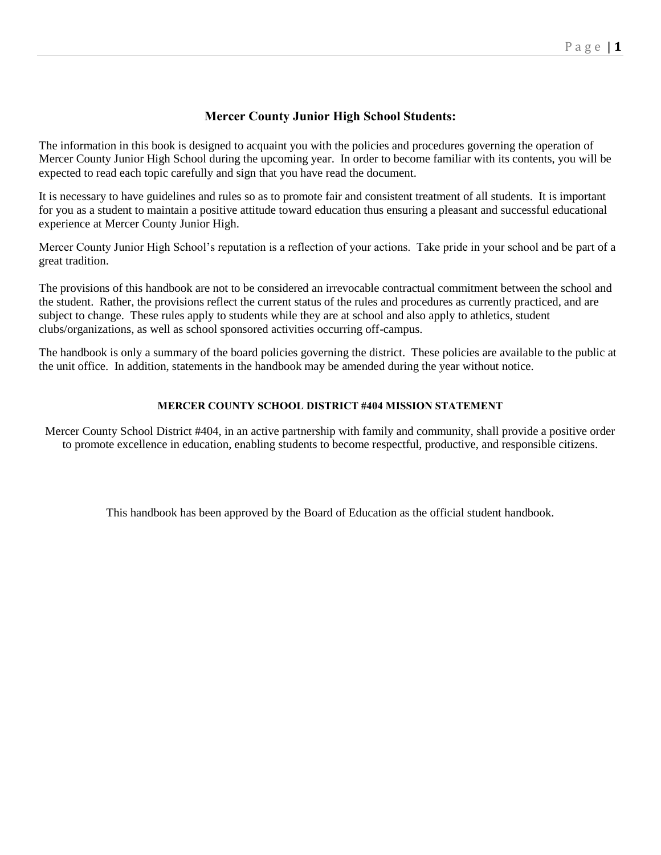## **Mercer County Junior High School Students:**

The information in this book is designed to acquaint you with the policies and procedures governing the operation of Mercer County Junior High School during the upcoming year. In order to become familiar with its contents, you will be expected to read each topic carefully and sign that you have read the document.

It is necessary to have guidelines and rules so as to promote fair and consistent treatment of all students. It is important for you as a student to maintain a positive attitude toward education thus ensuring a pleasant and successful educational experience at Mercer County Junior High.

Mercer County Junior High School's reputation is a reflection of your actions. Take pride in your school and be part of a great tradition.

The provisions of this handbook are not to be considered an irrevocable contractual commitment between the school and the student. Rather, the provisions reflect the current status of the rules and procedures as currently practiced, and are subject to change. These rules apply to students while they are at school and also apply to athletics, student clubs/organizations, as well as school sponsored activities occurring off-campus.

The handbook is only a summary of the board policies governing the district. These policies are available to the public at the unit office. In addition, statements in the handbook may be amended during the year without notice.

## **MERCER COUNTY SCHOOL DISTRICT #404 MISSION STATEMENT**

Mercer County School District #404, in an active partnership with family and community, shall provide a positive order to promote excellence in education, enabling students to become respectful, productive, and responsible citizens.

This handbook has been approved by the Board of Education as the official student handbook.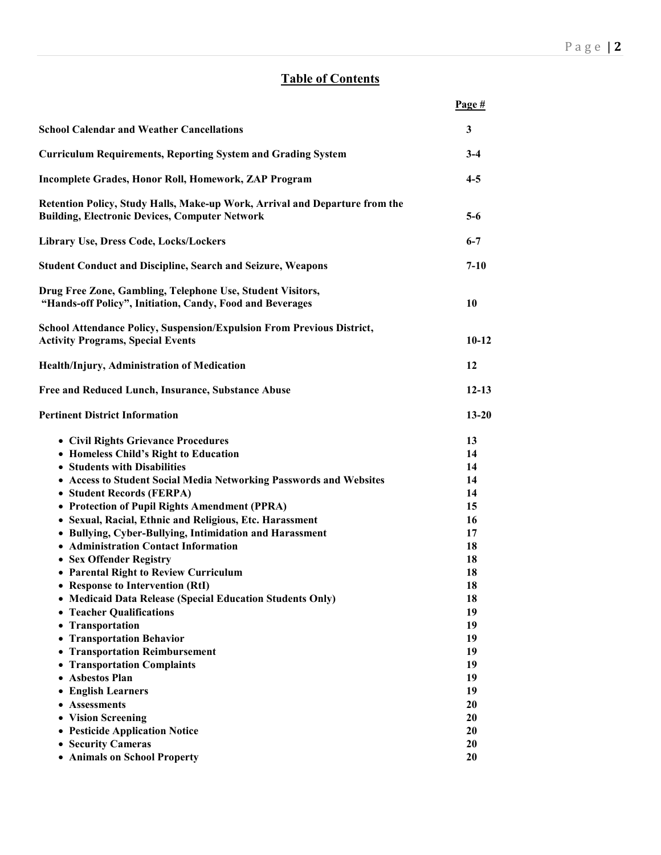# **Table of Contents**

|                                                                                                                                                                                                                                                                                                                                                                                                                                                                                                                                                                                                                                                                                                                                                                                                                                   | Page $#$                                                                                                             |
|-----------------------------------------------------------------------------------------------------------------------------------------------------------------------------------------------------------------------------------------------------------------------------------------------------------------------------------------------------------------------------------------------------------------------------------------------------------------------------------------------------------------------------------------------------------------------------------------------------------------------------------------------------------------------------------------------------------------------------------------------------------------------------------------------------------------------------------|----------------------------------------------------------------------------------------------------------------------|
| <b>School Calendar and Weather Cancellations</b>                                                                                                                                                                                                                                                                                                                                                                                                                                                                                                                                                                                                                                                                                                                                                                                  | 3                                                                                                                    |
| <b>Curriculum Requirements, Reporting System and Grading System</b>                                                                                                                                                                                                                                                                                                                                                                                                                                                                                                                                                                                                                                                                                                                                                               | $3-4$                                                                                                                |
| Incomplete Grades, Honor Roll, Homework, ZAP Program                                                                                                                                                                                                                                                                                                                                                                                                                                                                                                                                                                                                                                                                                                                                                                              | $4 - 5$                                                                                                              |
| Retention Policy, Study Halls, Make-up Work, Arrival and Departure from the<br><b>Building, Electronic Devices, Computer Network</b>                                                                                                                                                                                                                                                                                                                                                                                                                                                                                                                                                                                                                                                                                              | $5-6$                                                                                                                |
| Library Use, Dress Code, Locks/Lockers                                                                                                                                                                                                                                                                                                                                                                                                                                                                                                                                                                                                                                                                                                                                                                                            | $6 - 7$                                                                                                              |
| <b>Student Conduct and Discipline, Search and Seizure, Weapons</b>                                                                                                                                                                                                                                                                                                                                                                                                                                                                                                                                                                                                                                                                                                                                                                | $7 - 10$                                                                                                             |
| Drug Free Zone, Gambling, Telephone Use, Student Visitors,<br>"Hands-off Policy", Initiation, Candy, Food and Beverages                                                                                                                                                                                                                                                                                                                                                                                                                                                                                                                                                                                                                                                                                                           | 10                                                                                                                   |
| School Attendance Policy, Suspension/Expulsion From Previous District,<br><b>Activity Programs, Special Events</b>                                                                                                                                                                                                                                                                                                                                                                                                                                                                                                                                                                                                                                                                                                                | $10-12$                                                                                                              |
| Health/Injury, Administration of Medication                                                                                                                                                                                                                                                                                                                                                                                                                                                                                                                                                                                                                                                                                                                                                                                       | 12                                                                                                                   |
| Free and Reduced Lunch, Insurance, Substance Abuse                                                                                                                                                                                                                                                                                                                                                                                                                                                                                                                                                                                                                                                                                                                                                                                | $12 - 13$                                                                                                            |
| <b>Pertinent District Information</b>                                                                                                                                                                                                                                                                                                                                                                                                                                                                                                                                                                                                                                                                                                                                                                                             | $13 - 20$                                                                                                            |
| • Civil Rights Grievance Procedures<br>• Homeless Child's Right to Education<br>• Students with Disabilities<br>• Access to Student Social Media Networking Passwords and Websites<br>• Student Records (FERPA)<br>• Protection of Pupil Rights Amendment (PPRA)<br>• Sexual, Racial, Ethnic and Religious, Etc. Harassment<br>• Bullying, Cyber-Bullying, Intimidation and Harassment<br>• Administration Contact Information<br>• Sex Offender Registry<br>• Parental Right to Review Curriculum<br><b>Response to Intervention (RtI)</b><br>• Medicaid Data Release (Special Education Students Only)<br>• Teacher Qualifications<br>Transportation<br>$\bullet$<br><b>Transportation Behavior</b><br>• Transportation Reimbursement<br>• Transportation Complaints<br><b>Asbestos Plan</b><br>$\bullet$<br>• English Learners | 13<br>14<br>14<br>14<br>14<br>15<br>16<br>17<br>18<br>18<br>18<br>18<br>18<br>19<br>19<br>19<br>19<br>19<br>19<br>19 |
| <b>Assessments</b><br>• Vision Screening<br>• Pesticide Application Notice<br>• Security Cameras                                                                                                                                                                                                                                                                                                                                                                                                                                                                                                                                                                                                                                                                                                                                  | 20<br>20<br>20<br>20                                                                                                 |
| • Animals on School Property                                                                                                                                                                                                                                                                                                                                                                                                                                                                                                                                                                                                                                                                                                                                                                                                      | 20                                                                                                                   |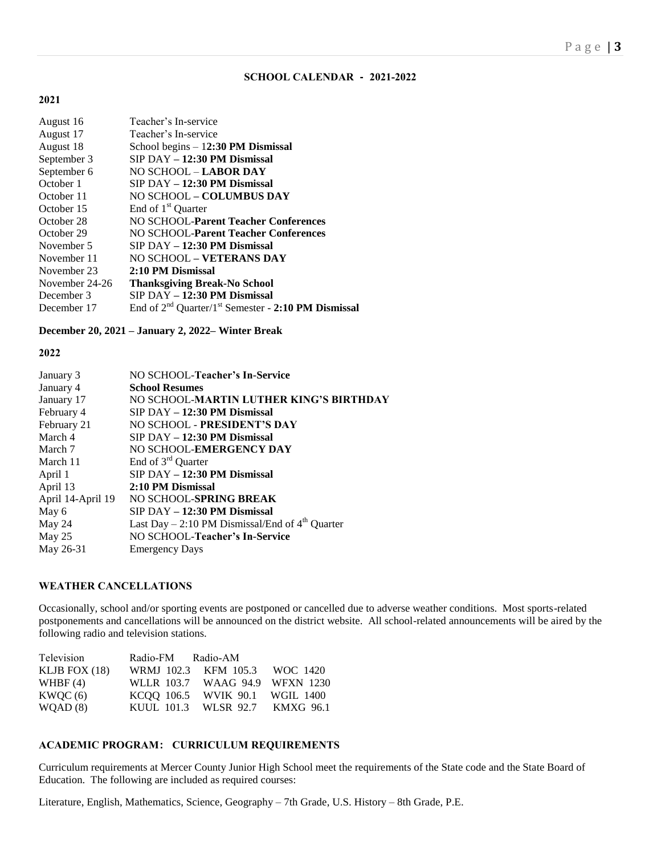## **SCHOOL CALENDAR - 2021-2022**

## **2021**

| August 16      | Teacher's In-service                                                 |
|----------------|----------------------------------------------------------------------|
| August 17      | Teacher's In-service                                                 |
| August 18      | School begins $-12:30$ PM Dismissal                                  |
| September 3    | $SIP$ DAY $-$ 12:30 PM Dismissal                                     |
| September 6    | NO SCHOOL - <b>LABOR DAY</b>                                         |
| October 1      | $SIP$ DAY $-$ 12:30 PM Dismissal                                     |
| October 11     | NO SCHOOL - COLUMBUS DAY                                             |
| October 15     | End of 1 <sup>st</sup> Quarter                                       |
| October 28     | <b>NO SCHOOL-Parent Teacher Conferences</b>                          |
| October 29     | NO SCHOOL-Parent Teacher Conferences                                 |
| November 5     | $SIP$ DAY $-$ 12:30 PM Dismissal                                     |
| November 11    | NO SCHOOL - VETERANS DAY                                             |
| November 23    | 2:10 PM Dismissal                                                    |
| November 24-26 | <b>Thanksgiving Break-No School</b>                                  |
| December 3     | $SIP$ DAY $-$ 12:30 PM Dismissal                                     |
| December 17    | End of $2^{nd}$ Quarter/1 <sup>st</sup> Semester - 2:10 PM Dismissal |

## **December 20, 2021 – January 2, 2022– Winter Break**

## **2022**

| NO SCHOOL-Teacher's In-Service                    |
|---------------------------------------------------|
| <b>School Resumes</b>                             |
| NO SCHOOL-MARTIN LUTHER KING'S BIRTHDAY           |
| $SIP$ DAY $-$ 12:30 PM Dismissal                  |
| NO SCHOOL - PRESIDENT'S DAY                       |
| $SIP$ DAY $-$ 12:30 PM Dismissal                  |
| NO SCHOOL-EMERGENCY DAY                           |
| End of 3 <sup>rd</sup> Quarter                    |
| $SIP$ DAY $-$ 12:30 PM Dismissal                  |
| 2:10 PM Dismissal                                 |
| NO SCHOOL-SPRING BREAK                            |
| SIP DAY - 12:30 PM Dismissal                      |
| Last Day – 2:10 PM Dismissal/End of $4th$ Quarter |
| NO SCHOOL-Teacher's In-Service                    |
| <b>Emergency Days</b>                             |
|                                                   |

#### **WEATHER CANCELLATIONS**

Occasionally, school and/or sporting events are postponed or cancelled due to adverse weather conditions. Most sports-related postponements and cancellations will be announced on the district website. All school-related announcements will be aired by the following radio and television stations.

| Television      | Radio-FM Radio-AM |                                |  |
|-----------------|-------------------|--------------------------------|--|
| KLJB FOX $(18)$ |                   | WRMJ 102.3 KFM 105.3 WOC 1420  |  |
| WHBF $(4)$      |                   | WLLR 103.7 WAAG 94.9 WFXN 1230 |  |
| KWOC(6)         |                   | KCOO 106.5 WVIK 90.1 WGIL 1400 |  |
| WQAD(8)         |                   | KUUL 101.3 WLSR 92.7 KMXG 96.1 |  |

## **ACADEMIC PROGRAM: CURRICULUM REQUIREMENTS**

Curriculum requirements at Mercer County Junior High School meet the requirements of the State code and the State Board of Education. The following are included as required courses:

Literature, English, Mathematics, Science, Geography – 7th Grade, U.S. History – 8th Grade, P.E.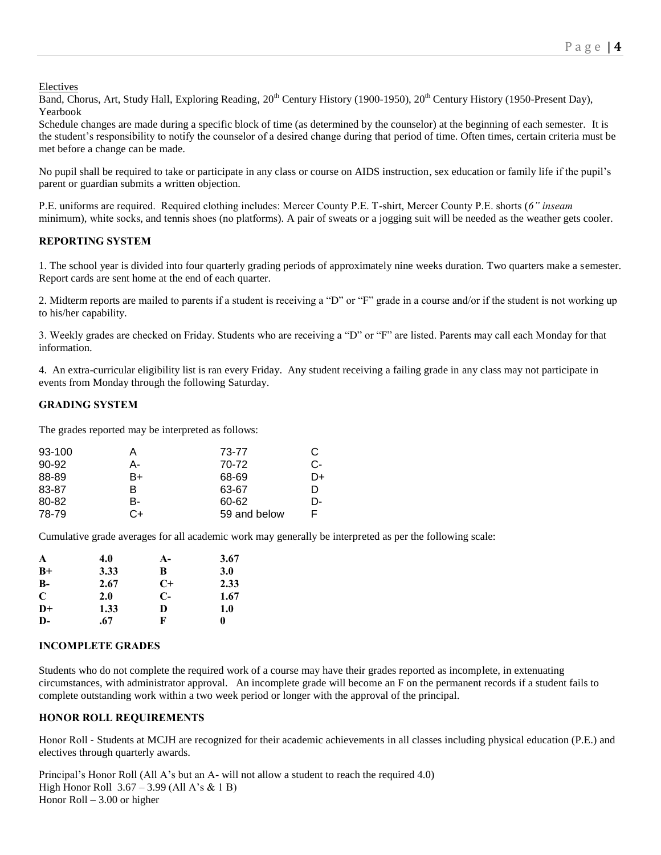Electives

Band, Chorus, Art, Study Hall, Exploring Reading,  $20^{th}$  Century History (1900-1950),  $20^{th}$  Century History (1950-Present Day), Yearbook

Schedule changes are made during a specific block of time (as determined by the counselor) at the beginning of each semester. It is the student's responsibility to notify the counselor of a desired change during that period of time. Often times, certain criteria must be met before a change can be made.

No pupil shall be required to take or participate in any class or course on AIDS instruction, sex education or family life if the pupil's parent or guardian submits a written objection.

P.E. uniforms are required. Required clothing includes: Mercer County P.E. T-shirt, Mercer County P.E. shorts (*6" inseam*  minimum), white socks, and tennis shoes (no platforms). A pair of sweats or a jogging suit will be needed as the weather gets cooler.

## **REPORTING SYSTEM**

1. The school year is divided into four quarterly grading periods of approximately nine weeks duration. Two quarters make a semester. Report cards are sent home at the end of each quarter.

2. Midterm reports are mailed to parents if a student is receiving a "D" or "F" grade in a course and/or if the student is not working up to his/her capability.

3. Weekly grades are checked on Friday. Students who are receiving a "D" or "F" are listed. Parents may call each Monday for that information.

4. An extra-curricular eligibility list is ran every Friday. Any student receiving a failing grade in any class may not participate in events from Monday through the following Saturday.

## **GRADING SYSTEM**

The grades reported may be interpreted as follows:

| 93-100 | Α  | 73-77        | C  |
|--------|----|--------------|----|
| 90-92  | А- | 70-72        | C- |
| 88-89  | B+ | 68-69        | D+ |
| 83-87  | B. | 63-67        | D  |
| 80-82  | B- | 60-62        | D- |
| 78-79  | C+ | 59 and below |    |
|        |    |              |    |

Cumulative grade averages for all academic work may generally be interpreted as per the following scale:

| A            | 4.0  | $A-$ | 3.67       |
|--------------|------|------|------------|
| $B+$         | 3.33 | B    | <b>3.0</b> |
| $B-$         | 2.67 | $C+$ | 2.33       |
| C            | 2.0  | $C-$ | 1.67       |
| $D+$         | 1.33 | D    | 1.0        |
| $\mathbf{D}$ | .67  | F    | 0          |

#### **INCOMPLETE GRADES**

Students who do not complete the required work of a course may have their grades reported as incomplete, in extenuating circumstances, with administrator approval. An incomplete grade will become an F on the permanent records if a student fails to complete outstanding work within a two week period or longer with the approval of the principal.

## **HONOR ROLL REQUIREMENTS**

Honor Roll - Students at MCJH are recognized for their academic achievements in all classes including physical education (P.E.) and electives through quarterly awards.

Principal's Honor Roll (All A's but an A- will not allow a student to reach the required 4.0) High Honor Roll 3.67 – 3.99 (All A's & 1 B) Honor Roll – 3.00 or higher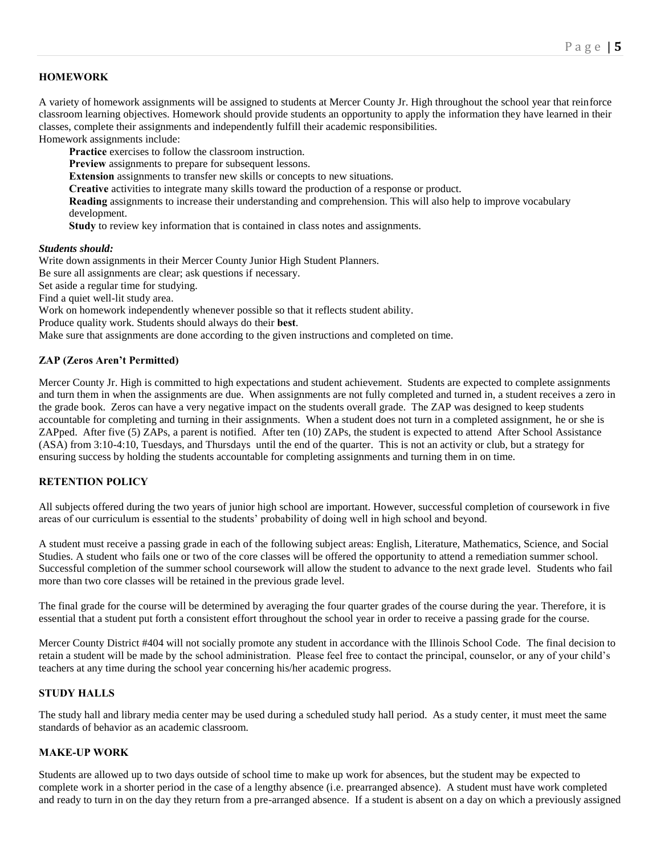## **HOMEWORK**

A variety of homework assignments will be assigned to students at Mercer County Jr. High throughout the school year that reinforce classroom learning objectives. Homework should provide students an opportunity to apply the information they have learned in their classes, complete their assignments and independently fulfill their academic responsibilities.

Homework assignments include:

**Practice** exercises to follow the classroom instruction.

**Preview** assignments to prepare for subsequent lessons.

**Extension** assignments to transfer new skills or concepts to new situations.

**Creative** activities to integrate many skills toward the production of a response or product.

**Reading** assignments to increase their understanding and comprehension. This will also help to improve vocabulary development.

**Study** to review key information that is contained in class notes and assignments.

#### *Students should:*

Write down assignments in their Mercer County Junior High Student Planners. Be sure all assignments are clear; ask questions if necessary. Set aside a regular time for studying. Find a quiet well-lit study area. Work on homework independently whenever possible so that it reflects student ability. Produce quality work. Students should always do their **best**. Make sure that assignments are done according to the given instructions and completed on time.

## **ZAP (Zeros Aren't Permitted)**

Mercer County Jr. High is committed to high expectations and student achievement. Students are expected to complete assignments and turn them in when the assignments are due. When assignments are not fully completed and turned in, a student receives a zero in the grade book. Zeros can have a very negative impact on the students overall grade. The ZAP was designed to keep students accountable for completing and turning in their assignments. When a student does not turn in a completed assignment, he or she is ZAPped. After five (5) ZAPs, a parent is notified. After ten (10) ZAPs, the student is expected to attend After School Assistance (ASA) from 3:10-4:10, Tuesdays, and Thursdays until the end of the quarter. This is not an activity or club, but a strategy for ensuring success by holding the students accountable for completing assignments and turning them in on time.

## **RETENTION POLICY**

All subjects offered during the two years of junior high school are important. However, successful completion of coursework in five areas of our curriculum is essential to the students' probability of doing well in high school and beyond.

A student must receive a passing grade in each of the following subject areas: English, Literature, Mathematics, Science, and Social Studies. A student who fails one or two of the core classes will be offered the opportunity to attend a remediation summer school. Successful completion of the summer school coursework will allow the student to advance to the next grade level. Students who fail more than two core classes will be retained in the previous grade level.

The final grade for the course will be determined by averaging the four quarter grades of the course during the year. Therefore, it is essential that a student put forth a consistent effort throughout the school year in order to receive a passing grade for the course.

Mercer County District #404 will not socially promote any student in accordance with the Illinois School Code. The final decision to retain a student will be made by the school administration. Please feel free to contact the principal, counselor, or any of your child's teachers at any time during the school year concerning his/her academic progress.

## **STUDY HALLS**

The study hall and library media center may be used during a scheduled study hall period. As a study center, it must meet the same standards of behavior as an academic classroom.

## **MAKE-UP WORK**

Students are allowed up to two days outside of school time to make up work for absences, but the student may be expected to complete work in a shorter period in the case of a lengthy absence (i.e. prearranged absence). A student must have work completed and ready to turn in on the day they return from a pre-arranged absence. If a student is absent on a day on which a previously assigned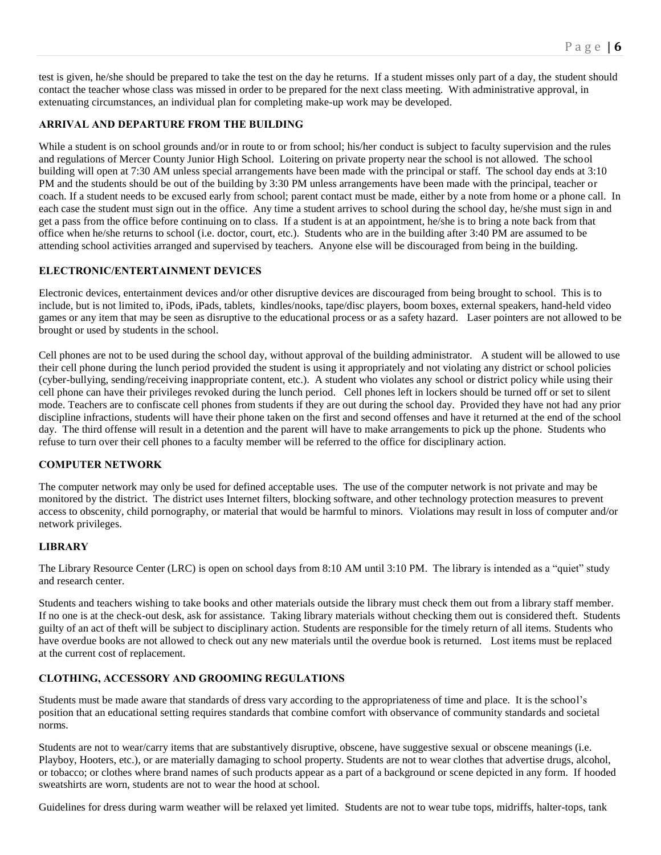test is given, he/she should be prepared to take the test on the day he returns. If a student misses only part of a day, the student should contact the teacher whose class was missed in order to be prepared for the next class meeting. With administrative approval, in extenuating circumstances, an individual plan for completing make-up work may be developed.

## **ARRIVAL AND DEPARTURE FROM THE BUILDING**

While a student is on school grounds and/or in route to or from school; his/her conduct is subject to faculty supervision and the rules and regulations of Mercer County Junior High School. Loitering on private property near the school is not allowed. The school building will open at 7:30 AM unless special arrangements have been made with the principal or staff. The school day ends at 3:10 PM and the students should be out of the building by 3:30 PM unless arrangements have been made with the principal, teacher or coach. If a student needs to be excused early from school; parent contact must be made, either by a note from home or a phone call. In each case the student must sign out in the office. Any time a student arrives to school during the school day, he/she must sign in and get a pass from the office before continuing on to class. If a student is at an appointment, he/she is to bring a note back from that office when he/she returns to school (i.e. doctor, court, etc.). Students who are in the building after 3:40 PM are assumed to be attending school activities arranged and supervised by teachers. Anyone else will be discouraged from being in the building.

## **ELECTRONIC/ENTERTAINMENT DEVICES**

Electronic devices, entertainment devices and/or other disruptive devices are discouraged from being brought to school. This is to include, but is not limited to, iPods, iPads, tablets, kindles/nooks, tape/disc players, boom boxes, external speakers, hand-held video games or any item that may be seen as disruptive to the educational process or as a safety hazard. Laser pointers are not allowed to be brought or used by students in the school.

Cell phones are not to be used during the school day, without approval of the building administrator. A student will be allowed to use their cell phone during the lunch period provided the student is using it appropriately and not violating any district or school policies (cyber-bullying, sending/receiving inappropriate content, etc.). A student who violates any school or district policy while using their cell phone can have their privileges revoked during the lunch period. Cell phones left in lockers should be turned off or set to silent mode. Teachers are to confiscate cell phones from students if they are out during the school day. Provided they have not had any prior discipline infractions, students will have their phone taken on the first and second offenses and have it returned at the end of the school day. The third offense will result in a detention and the parent will have to make arrangements to pick up the phone. Students who refuse to turn over their cell phones to a faculty member will be referred to the office for disciplinary action.

## **COMPUTER NETWORK**

The computer network may only be used for defined acceptable uses. The use of the computer network is not private and may be monitored by the district. The district uses Internet filters, blocking software, and other technology protection measures to prevent access to obscenity, child pornography, or material that would be harmful to minors. Violations may result in loss of computer and/or network privileges.

## **LIBRARY**

The Library Resource Center (LRC) is open on school days from 8:10 AM until 3:10 PM. The library is intended as a "quiet" study and research center.

Students and teachers wishing to take books and other materials outside the library must check them out from a library staff member. If no one is at the check-out desk, ask for assistance. Taking library materials without checking them out is considered theft. Students guilty of an act of theft will be subject to disciplinary action. Students are responsible for the timely return of all items. Students who have overdue books are not allowed to check out any new materials until the overdue book is returned. Lost items must be replaced at the current cost of replacement.

## **CLOTHING, ACCESSORY AND GROOMING REGULATIONS**

Students must be made aware that standards of dress vary according to the appropriateness of time and place. It is the school's position that an educational setting requires standards that combine comfort with observance of community standards and societal norms.

Students are not to wear/carry items that are substantively disruptive, obscene, have suggestive sexual or obscene meanings (i.e. Playboy, Hooters, etc.), or are materially damaging to school property. Students are not to wear clothes that advertise drugs, alcohol, or tobacco; or clothes where brand names of such products appear as a part of a background or scene depicted in any form. If hooded sweatshirts are worn, students are not to wear the hood at school.

Guidelines for dress during warm weather will be relaxed yet limited. Students are not to wear tube tops, midriffs, halter-tops, tank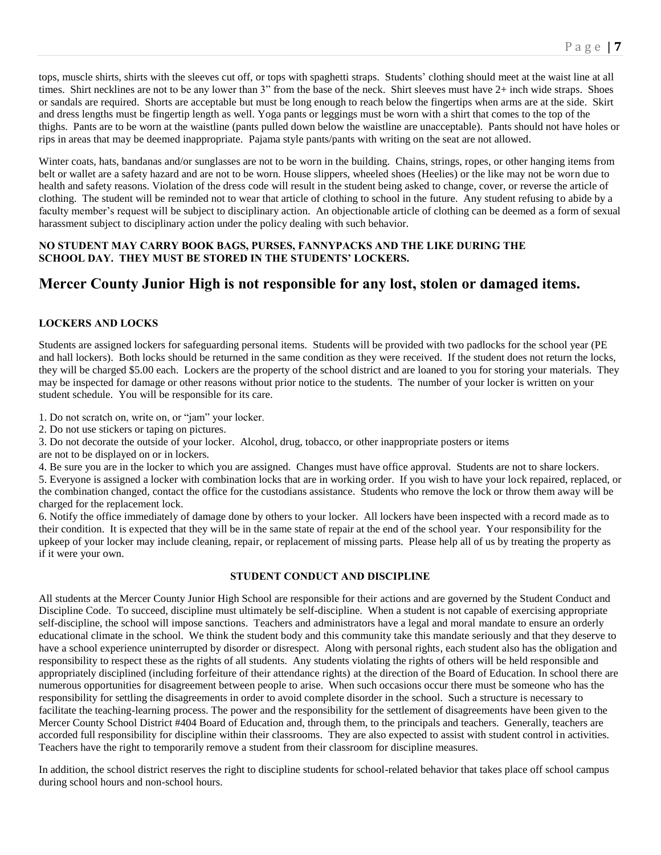tops, muscle shirts, shirts with the sleeves cut off, or tops with spaghetti straps. Students' clothing should meet at the waist line at all times. Shirt necklines are not to be any lower than 3" from the base of the neck. Shirt sleeves must have 2+ inch wide straps. Shoes or sandals are required. Shorts are acceptable but must be long enough to reach below the fingertips when arms are at the side. Skirt and dress lengths must be fingertip length as well. Yoga pants or leggings must be worn with a shirt that comes to the top of the thighs. Pants are to be worn at the waistline (pants pulled down below the waistline are unacceptable). Pants should not have holes or rips in areas that may be deemed inappropriate. Pajama style pants/pants with writing on the seat are not allowed.

Winter coats, hats, bandanas and/or sunglasses are not to be worn in the building. Chains, strings, ropes, or other hanging items from belt or wallet are a safety hazard and are not to be worn. House slippers, wheeled shoes (Heelies) or the like may not be worn due to health and safety reasons. Violation of the dress code will result in the student being asked to change, cover, or reverse the article of clothing. The student will be reminded not to wear that article of clothing to school in the future. Any student refusing to abide by a faculty member's request will be subject to disciplinary action. An objectionable article of clothing can be deemed as a form of sexual harassment subject to disciplinary action under the policy dealing with such behavior.

## **NO STUDENT MAY CARRY BOOK BAGS, PURSES, FANNYPACKS AND THE LIKE DURING THE SCHOOL DAY. THEY MUST BE STORED IN THE STUDENTS' LOCKERS.**

# **Mercer County Junior High is not responsible for any lost, stolen or damaged items.**

## **LOCKERS AND LOCKS**

Students are assigned lockers for safeguarding personal items. Students will be provided with two padlocks for the school year (PE and hall lockers). Both locks should be returned in the same condition as they were received. If the student does not return the locks, they will be charged \$5.00 each. Lockers are the property of the school district and are loaned to you for storing your materials. They may be inspected for damage or other reasons without prior notice to the students. The number of your locker is written on your student schedule. You will be responsible for its care.

1. Do not scratch on, write on, or "jam" your locker.

2. Do not use stickers or taping on pictures.

3. Do not decorate the outside of your locker. Alcohol, drug, tobacco, or other inappropriate posters or items

are not to be displayed on or in lockers.

4. Be sure you are in the locker to which you are assigned. Changes must have office approval. Students are not to share lockers. 5. Everyone is assigned a locker with combination locks that are in working order. If you wish to have your lock repaired, replaced, or the combination changed, contact the office for the custodians assistance. Students who remove the lock or throw them away will be charged for the replacement lock.

6. Notify the office immediately of damage done by others to your locker. All lockers have been inspected with a record made as to their condition. It is expected that they will be in the same state of repair at the end of the school year. Your responsibility for the upkeep of your locker may include cleaning, repair, or replacement of missing parts. Please help all of us by treating the property as if it were your own.

## **STUDENT CONDUCT AND DISCIPLINE**

All students at the Mercer County Junior High School are responsible for their actions and are governed by the Student Conduct and Discipline Code. To succeed, discipline must ultimately be self-discipline. When a student is not capable of exercising appropriate self-discipline, the school will impose sanctions. Teachers and administrators have a legal and moral mandate to ensure an orderly educational climate in the school. We think the student body and this community take this mandate seriously and that they deserve to have a school experience uninterrupted by disorder or disrespect. Along with personal rights, each student also has the obligation and responsibility to respect these as the rights of all students. Any students violating the rights of others will be held responsible and appropriately disciplined (including forfeiture of their attendance rights) at the direction of the Board of Education. In school there are numerous opportunities for disagreement between people to arise. When such occasions occur there must be someone who has the responsibility for settling the disagreements in order to avoid complete disorder in the school. Such a structure is necessary to facilitate the teaching-learning process. The power and the responsibility for the settlement of disagreements have been given to the Mercer County School District #404 Board of Education and, through them, to the principals and teachers. Generally, teachers are accorded full responsibility for discipline within their classrooms. They are also expected to assist with student control in activities. Teachers have the right to temporarily remove a student from their classroom for discipline measures.

In addition, the school district reserves the right to discipline students for school-related behavior that takes place off school campus during school hours and non-school hours.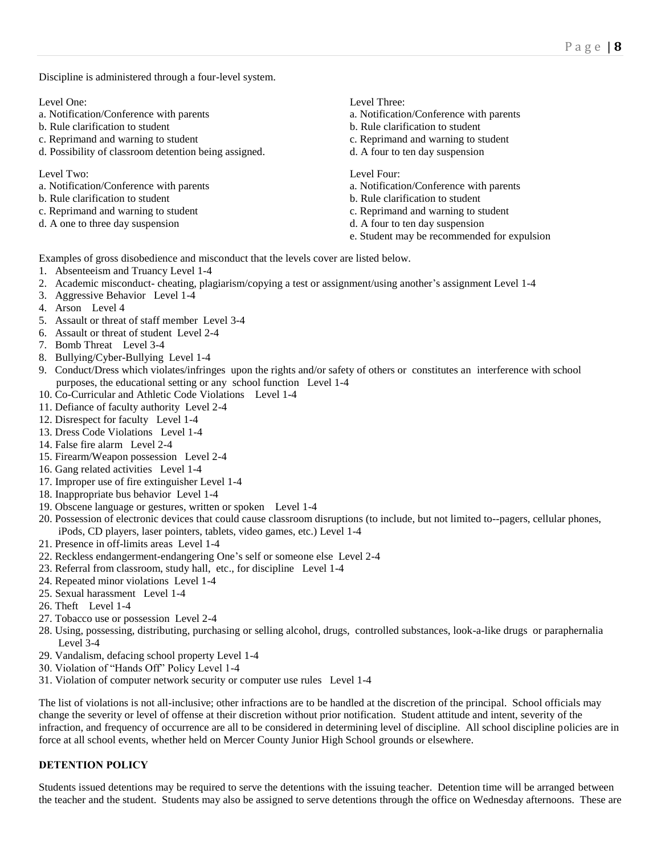Discipline is administered through a four-level system.

- a. Notification/Conference with parents a. Notification/Conference with parents
- b. Rule clarification to student b. Rule clarification to student
- c. Reprimand and warning to student c. Reprimand and warning to student
- d. Possibility of classroom detention being assigned. d. A four to ten day suspension

Level Two: Level Four:

- a. Notification/Conference with parents a. Notification/Conference with parents
- 
- 
- 

Level One: Level Three:

- 
- 
- 
- 

- 
- b. Rule clarification to student b. Rule clarification to student
- c. Reprimand and warning to student c. Reprimand and warning to student
- d. A one to three day suspension d. A four to ten day suspension
	- e. Student may be recommended for expulsion

Examples of gross disobedience and misconduct that the levels cover are listed below.

- 1. Absenteeism and Truancy Level 1-4
- 2. Academic misconduct- cheating, plagiarism/copying a test or assignment/using another's assignment Level 1-4
- 3. Aggressive Behavior Level 1-4
- 4. Arson Level 4
- 5. Assault or threat of staff member Level 3-4
- 6. Assault or threat of student Level 2-4
- 7. Bomb Threat Level 3-4
- 8. Bullying/Cyber-Bullying Level 1-4
- 9. Conduct/Dress which violates/infringes upon the rights and/or safety of others or constitutes an interference with school purposes, the educational setting or any school function Level 1-4
- 10. Co-Curricular and Athletic Code Violations Level 1-4
- 11. Defiance of faculty authority Level 2-4
- 12. Disrespect for faculty Level 1-4
- 13. Dress Code Violations Level 1-4
- 14. False fire alarm Level 2-4
- 15. Firearm/Weapon possession Level 2-4
- 16. Gang related activities Level 1-4
- 17. Improper use of fire extinguisher Level 1-4
- 18. Inappropriate bus behavior Level 1-4
- 19. Obscene language or gestures, written or spoken Level 1-4
- 20. Possession of electronic devices that could cause classroom disruptions (to include, but not limited to--pagers, cellular phones, iPods, CD players, laser pointers, tablets, video games, etc.) Level 1-4
- 21. Presence in off-limits areas Level 1-4
- 22. Reckless endangerment-endangering One's self or someone else Level 2-4
- 23. Referral from classroom, study hall, etc., for discipline Level 1-4
- 24. Repeated minor violations Level 1-4
- 25. Sexual harassment Level 1-4
- 26. Theft Level 1-4
- 27. Tobacco use or possession Level 2-4
- 28. Using, possessing, distributing, purchasing or selling alcohol, drugs, controlled substances, look-a-like drugs or paraphernalia Level 3-4
- 29. Vandalism, defacing school property Level 1-4
- 30. Violation of "Hands Off" Policy Level 1-4
- 31. Violation of computer network security or computer use rules Level 1-4

The list of violations is not all-inclusive; other infractions are to be handled at the discretion of the principal. School officials may change the severity or level of offense at their discretion without prior notification. Student attitude and intent, severity of the infraction, and frequency of occurrence are all to be considered in determining level of discipline. All school discipline policies are in force at all school events, whether held on Mercer County Junior High School grounds or elsewhere.

## **DETENTION POLICY**

Students issued detentions may be required to serve the detentions with the issuing teacher. Detention time will be arranged between the teacher and the student. Students may also be assigned to serve detentions through the office on Wednesday afternoons. These are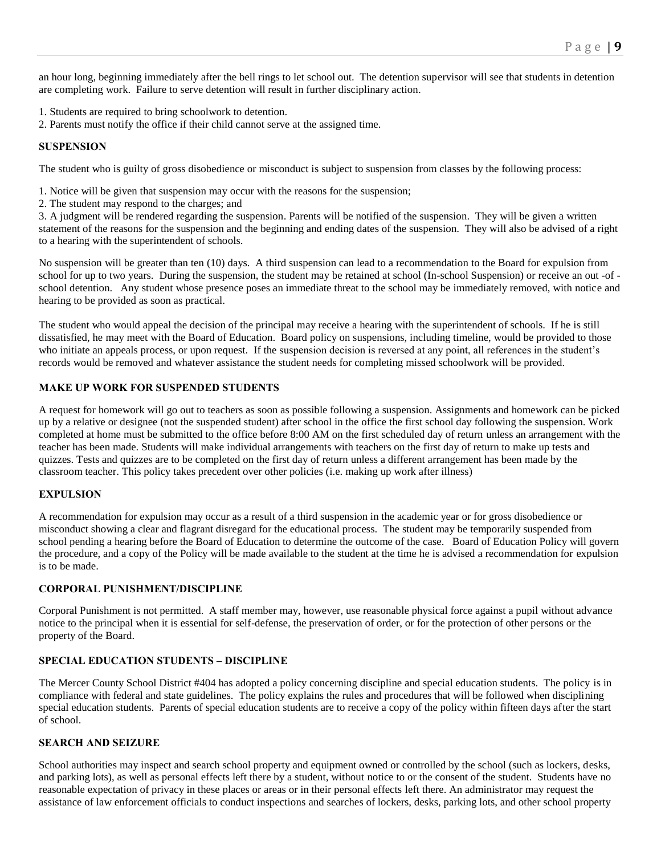an hour long, beginning immediately after the bell rings to let school out. The detention supervisor will see that students in detention are completing work. Failure to serve detention will result in further disciplinary action.

- 1. Students are required to bring schoolwork to detention.
- 2. Parents must notify the office if their child cannot serve at the assigned time.

#### **SUSPENSION**

The student who is guilty of gross disobedience or misconduct is subject to suspension from classes by the following process:

- 1. Notice will be given that suspension may occur with the reasons for the suspension;
- 2. The student may respond to the charges; and

3. A judgment will be rendered regarding the suspension. Parents will be notified of the suspension. They will be given a written statement of the reasons for the suspension and the beginning and ending dates of the suspension. They will also be advised of a right to a hearing with the superintendent of schools.

No suspension will be greater than ten (10) days. A third suspension can lead to a recommendation to the Board for expulsion from school for up to two years. During the suspension, the student may be retained at school (In-school Suspension) or receive an out -of school detention. Any student whose presence poses an immediate threat to the school may be immediately removed, with notice and hearing to be provided as soon as practical.

The student who would appeal the decision of the principal may receive a hearing with the superintendent of schools. If he is still dissatisfied, he may meet with the Board of Education. Board policy on suspensions, including timeline, would be provided to those who initiate an appeals process, or upon request. If the suspension decision is reversed at any point, all references in the student's records would be removed and whatever assistance the student needs for completing missed schoolwork will be provided.

## **MAKE UP WORK FOR SUSPENDED STUDENTS**

A request for homework will go out to teachers as soon as possible following a suspension. Assignments and homework can be picked up by a relative or designee (not the suspended student) after school in the office the first school day following the suspension. Work completed at home must be submitted to the office before 8:00 AM on the first scheduled day of return unless an arrangement with the teacher has been made. Students will make individual arrangements with teachers on the first day of return to make up tests and quizzes. Tests and quizzes are to be completed on the first day of return unless a different arrangement has been made by the classroom teacher. This policy takes precedent over other policies (i.e. making up work after illness)

## **EXPULSION**

A recommendation for expulsion may occur as a result of a third suspension in the academic year or for gross disobedience or misconduct showing a clear and flagrant disregard for the educational process. The student may be temporarily suspended from school pending a hearing before the Board of Education to determine the outcome of the case. Board of Education Policy will govern the procedure, and a copy of the Policy will be made available to the student at the time he is advised a recommendation for expulsion is to be made.

## **CORPORAL PUNISHMENT/DISCIPLINE**

Corporal Punishment is not permitted. A staff member may, however, use reasonable physical force against a pupil without advance notice to the principal when it is essential for self-defense, the preservation of order, or for the protection of other persons or the property of the Board.

## **SPECIAL EDUCATION STUDENTS – DISCIPLINE**

The Mercer County School District #404 has adopted a policy concerning discipline and special education students. The policy is in compliance with federal and state guidelines. The policy explains the rules and procedures that will be followed when disciplining special education students. Parents of special education students are to receive a copy of the policy within fifteen days after the start of school.

## **SEARCH AND SEIZURE**

School authorities may inspect and search school property and equipment owned or controlled by the school (such as lockers, desks, and parking lots), as well as personal effects left there by a student, without notice to or the consent of the student. Students have no reasonable expectation of privacy in these places or areas or in their personal effects left there. An administrator may request the assistance of law enforcement officials to conduct inspections and searches of lockers, desks, parking lots, and other school property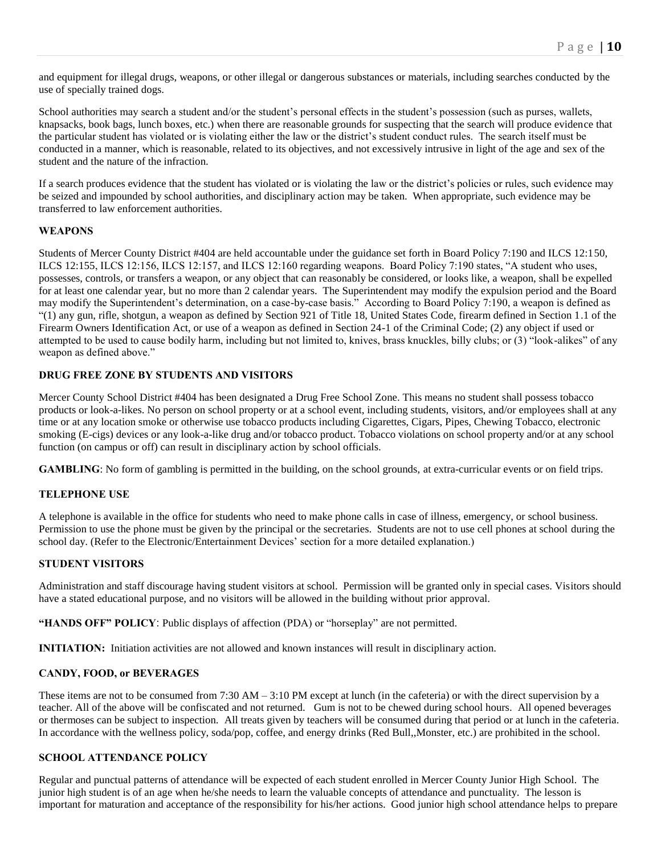and equipment for illegal drugs, weapons, or other illegal or dangerous substances or materials, including searches conducted by the use of specially trained dogs.

School authorities may search a student and/or the student's personal effects in the student's possession (such as purses, wallets, knapsacks, book bags, lunch boxes, etc.) when there are reasonable grounds for suspecting that the search will produce evidence that the particular student has violated or is violating either the law or the district's student conduct rules. The search itself must be conducted in a manner, which is reasonable, related to its objectives, and not excessively intrusive in light of the age and sex of the student and the nature of the infraction.

If a search produces evidence that the student has violated or is violating the law or the district's policies or rules, such evidence may be seized and impounded by school authorities, and disciplinary action may be taken. When appropriate, such evidence may be transferred to law enforcement authorities.

## **WEAPONS**

Students of Mercer County District #404 are held accountable under the guidance set forth in Board Policy 7:190 and ILCS 12:150, ILCS 12:155, ILCS 12:156, ILCS 12:157, and ILCS 12:160 regarding weapons. Board Policy 7:190 states, "A student who uses, possesses, controls, or transfers a weapon, or any object that can reasonably be considered, or looks like, a weapon, shall be expelled for at least one calendar year, but no more than 2 calendar years. The Superintendent may modify the expulsion period and the Board may modify the Superintendent's determination, on a case-by-case basis." According to Board Policy 7:190, a weapon is defined as "(1) any gun, rifle, shotgun, a weapon as defined by Section 921 of Title 18, United States Code, firearm defined in Section 1.1 of the Firearm Owners Identification Act, or use of a weapon as defined in Section 24-1 of the Criminal Code; (2) any object if used or attempted to be used to cause bodily harm, including but not limited to, knives, brass knuckles, billy clubs; or (3) "look-alikes" of any weapon as defined above."

## **DRUG FREE ZONE BY STUDENTS AND VISITORS**

Mercer County School District #404 has been designated a Drug Free School Zone. This means no student shall possess tobacco products or look-a-likes. No person on school property or at a school event, including students, visitors, and/or employees shall at any time or at any location smoke or otherwise use tobacco products including Cigarettes, Cigars, Pipes, Chewing Tobacco, electronic smoking (E-cigs) devices or any look-a-like drug and/or tobacco product. Tobacco violations on school property and/or at any school function (on campus or off) can result in disciplinary action by school officials.

**GAMBLING**: No form of gambling is permitted in the building, on the school grounds, at extra-curricular events or on field trips.

## **TELEPHONE USE**

A telephone is available in the office for students who need to make phone calls in case of illness, emergency, or school business. Permission to use the phone must be given by the principal or the secretaries. Students are not to use cell phones at school during the school day. (Refer to the Electronic/Entertainment Devices' section for a more detailed explanation.)

## **STUDENT VISITORS**

Administration and staff discourage having student visitors at school. Permission will be granted only in special cases. Visitors should have a stated educational purpose, and no visitors will be allowed in the building without prior approval.

**"HANDS OFF" POLICY**: Public displays of affection (PDA) or "horseplay" are not permitted.

**INITIATION:** Initiation activities are not allowed and known instances will result in disciplinary action.

## **CANDY, FOOD, or BEVERAGES**

These items are not to be consumed from 7:30 AM – 3:10 PM except at lunch (in the cafeteria) or with the direct supervision by a teacher. All of the above will be confiscated and not returned. Gum is not to be chewed during school hours. All opened beverages or thermoses can be subject to inspection. All treats given by teachers will be consumed during that period or at lunch in the cafeteria. In accordance with the wellness policy, soda/pop, coffee, and energy drinks (Red Bull,,Monster, etc.) are prohibited in the school.

## **SCHOOL ATTENDANCE POLICY**

Regular and punctual patterns of attendance will be expected of each student enrolled in Mercer County Junior High School. The junior high student is of an age when he/she needs to learn the valuable concepts of attendance and punctuality. The lesson is important for maturation and acceptance of the responsibility for his/her actions. Good junior high school attendance helps to prepare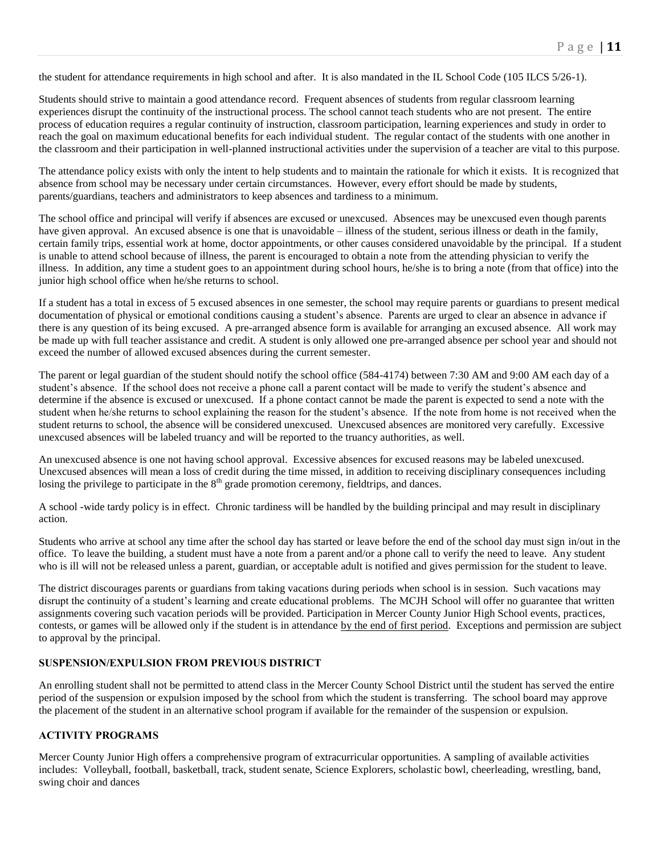the student for attendance requirements in high school and after. It is also mandated in the IL School Code (105 ILCS 5/26-1).

Students should strive to maintain a good attendance record. Frequent absences of students from regular classroom learning experiences disrupt the continuity of the instructional process. The school cannot teach students who are not present. The entire process of education requires a regular continuity of instruction, classroom participation, learning experiences and study in order to reach the goal on maximum educational benefits for each individual student. The regular contact of the students with one another in the classroom and their participation in well-planned instructional activities under the supervision of a teacher are vital to this purpose.

The attendance policy exists with only the intent to help students and to maintain the rationale for which it exists. It is recognized that absence from school may be necessary under certain circumstances. However, every effort should be made by students, parents/guardians, teachers and administrators to keep absences and tardiness to a minimum.

The school office and principal will verify if absences are excused or unexcused. Absences may be unexcused even though parents have given approval. An excused absence is one that is unavoidable – illness of the student, serious illness or death in the family, certain family trips, essential work at home, doctor appointments, or other causes considered unavoidable by the principal. If a student is unable to attend school because of illness, the parent is encouraged to obtain a note from the attending physician to verify the illness. In addition, any time a student goes to an appointment during school hours, he/she is to bring a note (from that office) into the junior high school office when he/she returns to school.

If a student has a total in excess of 5 excused absences in one semester, the school may require parents or guardians to present medical documentation of physical or emotional conditions causing a student's absence. Parents are urged to clear an absence in advance if there is any question of its being excused. A pre-arranged absence form is available for arranging an excused absence. All work may be made up with full teacher assistance and credit. A student is only allowed one pre-arranged absence per school year and should not exceed the number of allowed excused absences during the current semester.

The parent or legal guardian of the student should notify the school office (584-4174) between 7:30 AM and 9:00 AM each day of a student's absence. If the school does not receive a phone call a parent contact will be made to verify the student's absence and determine if the absence is excused or unexcused. If a phone contact cannot be made the parent is expected to send a note with the student when he/she returns to school explaining the reason for the student's absence. If the note from home is not received when the student returns to school, the absence will be considered unexcused. Unexcused absences are monitored very carefully. Excessive unexcused absences will be labeled truancy and will be reported to the truancy authorities, as well.

An unexcused absence is one not having school approval. Excessive absences for excused reasons may be labeled unexcused. Unexcused absences will mean a loss of credit during the time missed, in addition to receiving disciplinary consequences including losing the privilege to participate in the  $8<sup>th</sup>$  grade promotion ceremony, fieldtrips, and dances.

A school -wide tardy policy is in effect. Chronic tardiness will be handled by the building principal and may result in disciplinary action.

Students who arrive at school any time after the school day has started or leave before the end of the school day must sign in/out in the office. To leave the building, a student must have a note from a parent and/or a phone call to verify the need to leave. Any student who is ill will not be released unless a parent, guardian, or acceptable adult is notified and gives permission for the student to leave.

The district discourages parents or guardians from taking vacations during periods when school is in session. Such vacations may disrupt the continuity of a student's learning and create educational problems. The MCJH School will offer no guarantee that written assignments covering such vacation periods will be provided. Participation in Mercer County Junior High School events, practices, contests, or games will be allowed only if the student is in attendance by the end of first period. Exceptions and permission are subject to approval by the principal.

## **SUSPENSION/EXPULSION FROM PREVIOUS DISTRICT**

An enrolling student shall not be permitted to attend class in the Mercer County School District until the student has served the entire period of the suspension or expulsion imposed by the school from which the student is transferring. The school board may approve the placement of the student in an alternative school program if available for the remainder of the suspension or expulsion.

## **ACTIVITY PROGRAMS**

Mercer County Junior High offers a comprehensive program of extracurricular opportunities. A sampling of available activities includes: Volleyball, football, basketball, track, student senate, Science Explorers, scholastic bowl, cheerleading, wrestling, band, swing choir and dances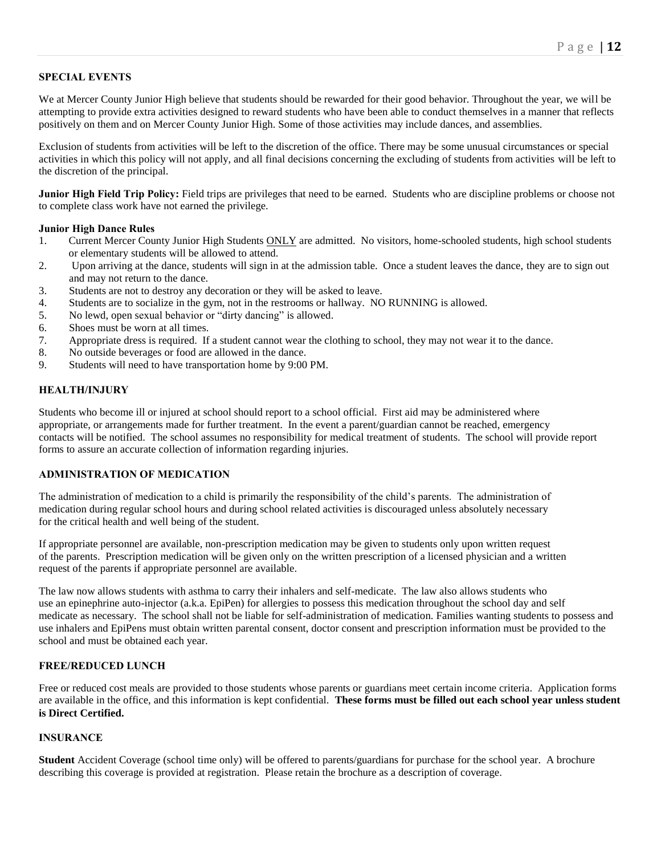## **SPECIAL EVENTS**

We at Mercer County Junior High believe that students should be rewarded for their good behavior. Throughout the year, we will be attempting to provide extra activities designed to reward students who have been able to conduct themselves in a manner that reflects positively on them and on Mercer County Junior High. Some of those activities may include dances, and assemblies.

Exclusion of students from activities will be left to the discretion of the office. There may be some unusual circumstances or special activities in which this policy will not apply, and all final decisions concerning the excluding of students from activities will be left to the discretion of the principal.

**Junior High Field Trip Policy:** Field trips are privileges that need to be earned. Students who are discipline problems or choose not to complete class work have not earned the privilege.

#### **Junior High Dance Rules**

- 1. Current Mercer County Junior High Students ONLY are admitted. No visitors, home-schooled students, high school students or elementary students will be allowed to attend.
- 2. Upon arriving at the dance, students will sign in at the admission table. Once a student leaves the dance, they are to sign out and may not return to the dance.
- 3. Students are not to destroy any decoration or they will be asked to leave.
- 4. Students are to socialize in the gym, not in the restrooms or hallway. NO RUNNING is allowed.
- 5. No lewd, open sexual behavior or "dirty dancing" is allowed.
- 6. Shoes must be worn at all times.
- 7. Appropriate dress is required. If a student cannot wear the clothing to school, they may not wear it to the dance.
- 8. No outside beverages or food are allowed in the dance.
- 9. Students will need to have transportation home by 9:00 PM.

#### **HEALTH/INJURY**

Students who become ill or injured at school should report to a school official. First aid may be administered where appropriate, or arrangements made for further treatment. In the event a parent/guardian cannot be reached, emergency contacts will be notified. The school assumes no responsibility for medical treatment of students. The school will provide report forms to assure an accurate collection of information regarding injuries.

#### **ADMINISTRATION OF MEDICATION**

The administration of medication to a child is primarily the responsibility of the child's parents. The administration of medication during regular school hours and during school related activities is discouraged unless absolutely necessary for the critical health and well being of the student.

If appropriate personnel are available, non-prescription medication may be given to students only upon written request of the parents. Prescription medication will be given only on the written prescription of a licensed physician and a written request of the parents if appropriate personnel are available.

The law now allows students with asthma to carry their inhalers and self-medicate. The law also allows students who use an epinephrine auto-injector (a.k.a. EpiPen) for allergies to possess this medication throughout the school day and self medicate as necessary. The school shall not be liable for self-administration of medication. Families wanting students to possess and use inhalers and EpiPens must obtain written parental consent, doctor consent and prescription information must be provided to the school and must be obtained each year.

## **FREE/REDUCED LUNCH**

Free or reduced cost meals are provided to those students whose parents or guardians meet certain income criteria. Application forms are available in the office, and this information is kept confidential. **These forms must be filled out each school year unless student is Direct Certified.** 

#### **INSURANCE**

**Student** Accident Coverage (school time only) will be offered to parents/guardians for purchase for the school year. A brochure describing this coverage is provided at registration. Please retain the brochure as a description of coverage.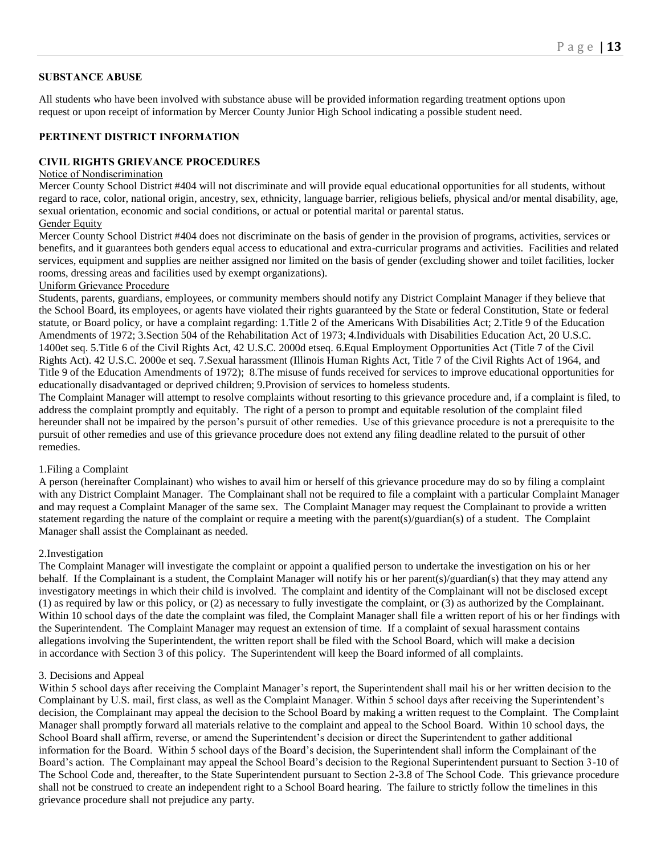## **SUBSTANCE ABUSE**

All students who have been involved with substance abuse will be provided information regarding treatment options upon request or upon receipt of information by Mercer County Junior High School indicating a possible student need.

#### **PERTINENT DISTRICT INFORMATION**

#### **CIVIL RIGHTS GRIEVANCE PROCEDURES**

## Notice of Nondiscrimination

Mercer County School District #404 will not discriminate and will provide equal educational opportunities for all students, without regard to race, color, national origin, ancestry, sex, ethnicity, language barrier, religious beliefs, physical and/or mental disability, age, sexual orientation, economic and social conditions, or actual or potential marital or parental status.

## Gender Equity

Mercer County School District #404 does not discriminate on the basis of gender in the provision of programs, activities, services or benefits, and it guarantees both genders equal access to educational and extra-curricular programs and activities. Facilities and related services, equipment and supplies are neither assigned nor limited on the basis of gender (excluding shower and toilet facilities, locker rooms, dressing areas and facilities used by exempt organizations).

### Uniform Grievance Procedure

Students, parents, guardians, employees, or community members should notify any District Complaint Manager if they believe that the School Board, its employees, or agents have violated their rights guaranteed by the State or federal Constitution, State or federal statute, or Board policy, or have a complaint regarding: 1.Title 2 of the Americans With Disabilities Act; 2.Title 9 of the Education Amendments of 1972; 3.Section 504 of the Rehabilitation Act of 1973; 4.Individuals with Disabilities Education Act, 20 U.S.C. 1400et seq. 5.Title 6 of the Civil Rights Act, 42 U.S.C. 2000d etseq. 6.Equal Employment Opportunities Act (Title 7 of the Civil Rights Act). 42 U.S.C. 2000e et seq. 7.Sexual harassment (Illinois Human Rights Act, Title 7 of the Civil Rights Act of 1964, and Title 9 of the Education Amendments of 1972); 8.The misuse of funds received for services to improve educational opportunities for educationally disadvantaged or deprived children; 9.Provision of services to homeless students.

The Complaint Manager will attempt to resolve complaints without resorting to this grievance procedure and, if a complaint is filed, to address the complaint promptly and equitably. The right of a person to prompt and equitable resolution of the complaint filed hereunder shall not be impaired by the person's pursuit of other remedies. Use of this grievance procedure is not a prerequisite to the pursuit of other remedies and use of this grievance procedure does not extend any filing deadline related to the pursuit of other remedies.

#### 1.Filing a Complaint

A person (hereinafter Complainant) who wishes to avail him or herself of this grievance procedure may do so by filing a complaint with any District Complaint Manager. The Complainant shall not be required to file a complaint with a particular Complaint Manager and may request a Complaint Manager of the same sex. The Complaint Manager may request the Complainant to provide a written statement regarding the nature of the complaint or require a meeting with the parent(s)/guardian(s) of a student. The Complaint Manager shall assist the Complainant as needed.

#### 2.Investigation

The Complaint Manager will investigate the complaint or appoint a qualified person to undertake the investigation on his or her behalf. If the Complainant is a student, the Complaint Manager will notify his or her parent(s)/guardian(s) that they may attend any investigatory meetings in which their child is involved. The complaint and identity of the Complainant will not be disclosed except (1) as required by law or this policy, or (2) as necessary to fully investigate the complaint, or (3) as authorized by the Complainant. Within 10 school days of the date the complaint was filed, the Complaint Manager shall file a written report of his or her findings with the Superintendent. The Complaint Manager may request an extension of time. If a complaint of sexual harassment contains allegations involving the Superintendent, the written report shall be filed with the School Board, which will make a decision in accordance with Section 3 of this policy. The Superintendent will keep the Board informed of all complaints.

#### 3. Decisions and Appeal

Within 5 school days after receiving the Complaint Manager's report, the Superintendent shall mail his or her written decision to the Complainant by U.S. mail, first class, as well as the Complaint Manager. Within 5 school days after receiving the Superintendent's decision, the Complainant may appeal the decision to the School Board by making a written request to the Complaint. The Complaint Manager shall promptly forward all materials relative to the complaint and appeal to the School Board. Within 10 school days, the School Board shall affirm, reverse, or amend the Superintendent's decision or direct the Superintendent to gather additional information for the Board. Within 5 school days of the Board's decision, the Superintendent shall inform the Complainant of the Board's action. The Complainant may appeal the School Board's decision to the Regional Superintendent pursuant to Section 3-10 of The School Code and, thereafter, to the State Superintendent pursuant to Section 2-3.8 of The School Code. This grievance procedure shall not be construed to create an independent right to a School Board hearing. The failure to strictly follow the timelines in this grievance procedure shall not prejudice any party.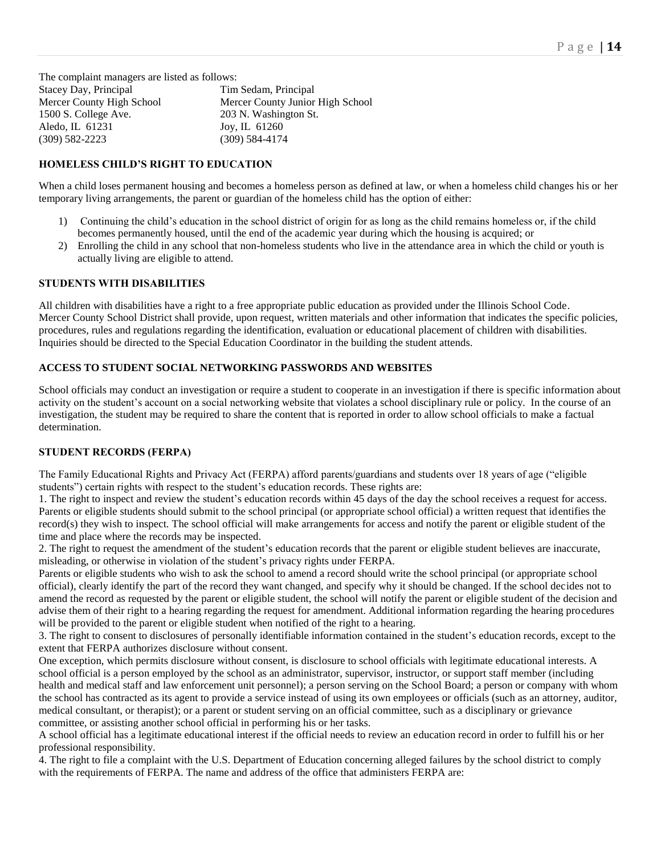The complaint managers are listed as follows: Stacey Day, Principal Tim Sedam, Principal Mercer County High School Mercer County Junior High School 1500 S. College Ave. 203 N. Washington St. Aledo, IL 61231 Joy, IL 61260 (309) 582-2223 (309) 584-4174

## **HOMELESS CHILD'S RIGHT TO EDUCATION**

When a child loses permanent housing and becomes a homeless person as defined at law, or when a homeless child changes his or her temporary living arrangements, the parent or guardian of the homeless child has the option of either:

- 1) Continuing the child's education in the school district of origin for as long as the child remains homeless or, if the child becomes permanently housed, until the end of the academic year during which the housing is acquired; or
- 2) Enrolling the child in any school that non-homeless students who live in the attendance area in which the child or youth is actually living are eligible to attend.

#### **STUDENTS WITH DISABILITIES**

All children with disabilities have a right to a free appropriate public education as provided under the Illinois School Code. Mercer County School District shall provide, upon request, written materials and other information that indicates the specific policies, procedures, rules and regulations regarding the identification, evaluation or educational placement of children with disabilities. Inquiries should be directed to the Special Education Coordinator in the building the student attends.

## **ACCESS TO STUDENT SOCIAL NETWORKING PASSWORDS AND WEBSITES**

School officials may conduct an investigation or require a student to cooperate in an investigation if there is specific information about activity on the student's account on a social networking website that violates a school disciplinary rule or policy. In the course of an investigation, the student may be required to share the content that is reported in order to allow school officials to make a factual determination.

## **STUDENT RECORDS (FERPA)**

The Family Educational Rights and Privacy Act (FERPA) afford parents/guardians and students over 18 years of age ("eligible students") certain rights with respect to the student's education records. These rights are:

1. The right to inspect and review the student's education records within 45 days of the day the school receives a request for access. Parents or eligible students should submit to the school principal (or appropriate school official) a written request that identifies the record(s) they wish to inspect. The school official will make arrangements for access and notify the parent or eligible student of the time and place where the records may be inspected.

2. The right to request the amendment of the student's education records that the parent or eligible student believes are inaccurate, misleading, or otherwise in violation of the student's privacy rights under FERPA.

Parents or eligible students who wish to ask the school to amend a record should write the school principal (or appropriate school official), clearly identify the part of the record they want changed, and specify why it should be changed. If the school decides not to amend the record as requested by the parent or eligible student, the school will notify the parent or eligible student of the decision and advise them of their right to a hearing regarding the request for amendment. Additional information regarding the hearing procedures will be provided to the parent or eligible student when notified of the right to a hearing.

3. The right to consent to disclosures of personally identifiable information contained in the student's education records, except to the extent that FERPA authorizes disclosure without consent.

One exception, which permits disclosure without consent, is disclosure to school officials with legitimate educational interests. A school official is a person employed by the school as an administrator, supervisor, instructor, or support staff member (including health and medical staff and law enforcement unit personnel); a person serving on the School Board; a person or company with whom the school has contracted as its agent to provide a service instead of using its own employees or officials (such as an attorney, auditor, medical consultant, or therapist); or a parent or student serving on an official committee, such as a disciplinary or grievance committee, or assisting another school official in performing his or her tasks.

A school official has a legitimate educational interest if the official needs to review an education record in order to fulfill his or her professional responsibility.

4. The right to file a complaint with the U.S. Department of Education concerning alleged failures by the school district to comply with the requirements of FERPA. The name and address of the office that administers FERPA are: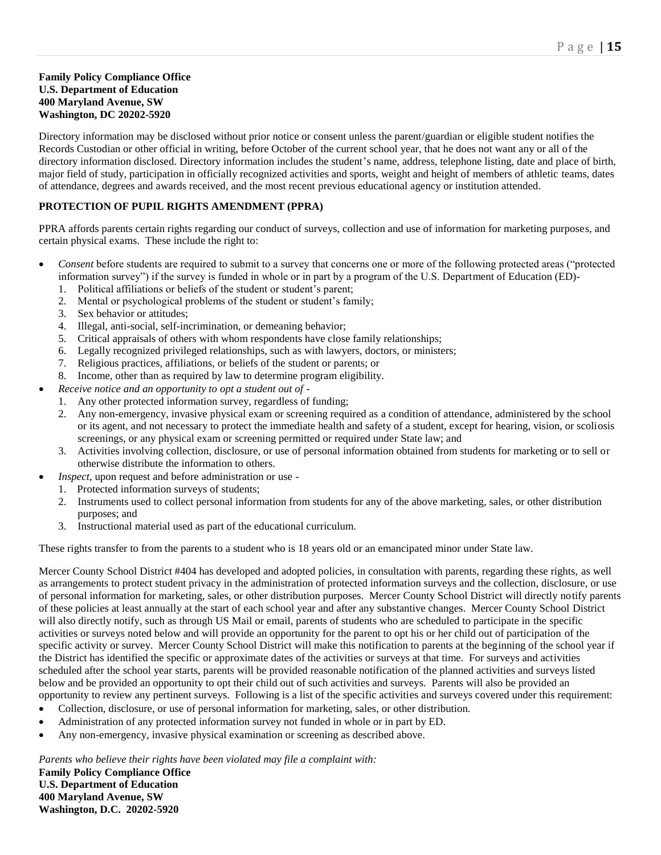## **Family Policy Compliance Office U.S. Department of Education 400 Maryland Avenue, SW Washington, DC 20202-5920**

Directory information may be disclosed without prior notice or consent unless the parent/guardian or eligible student notifies the Records Custodian or other official in writing, before October of the current school year, that he does not want any or all of the directory information disclosed. Directory information includes the student's name, address, telephone listing, date and place of birth, major field of study, participation in officially recognized activities and sports, weight and height of members of athletic teams, dates of attendance, degrees and awards received, and the most recent previous educational agency or institution attended.

## **PROTECTION OF PUPIL RIGHTS AMENDMENT (PPRA)**

PPRA affords parents certain rights regarding our conduct of surveys, collection and use of information for marketing purposes, and certain physical exams. These include the right to:

- *Consent* before students are required to submit to a survey that concerns one or more of the following protected areas ("protected information survey") if the survey is funded in whole or in part by a program of the U.S. Department of Education (ED)-
	- 1. Political affiliations or beliefs of the student or student's parent;
	- 2. Mental or psychological problems of the student or student's family;
	- 3. Sex behavior or attitudes;
	- 4. Illegal, anti-social, self-incrimination, or demeaning behavior;
	- 5. Critical appraisals of others with whom respondents have close family relationships;
	- 6. Legally recognized privileged relationships, such as with lawyers, doctors, or ministers;
	- 7. Religious practices, affiliations, or beliefs of the student or parents; or
	- 8. Income, other than as required by law to determine program eligibility.
- *Receive notice and an opportunity to opt a student out of*
	- 1. Any other protected information survey, regardless of funding;
	- 2. Any non-emergency, invasive physical exam or screening required as a condition of attendance, administered by the school or its agent, and not necessary to protect the immediate health and safety of a student, except for hearing, vision, or scoliosis screenings, or any physical exam or screening permitted or required under State law; and
	- 3. Activities involving collection, disclosure, or use of personal information obtained from students for marketing or to sell or otherwise distribute the information to others.
- *Inspect*, upon request and before administration or use
	- 1. Protected information surveys of students;
	- 2. Instruments used to collect personal information from students for any of the above marketing, sales, or other distribution purposes; and
	- 3. Instructional material used as part of the educational curriculum.

These rights transfer to from the parents to a student who is 18 years old or an emancipated minor under State law.

Mercer County School District #404 has developed and adopted policies, in consultation with parents, regarding these rights, as well as arrangements to protect student privacy in the administration of protected information surveys and the collection, disclosure, or use of personal information for marketing, sales, or other distribution purposes. Mercer County School District will directly notify parents of these policies at least annually at the start of each school year and after any substantive changes. Mercer County School District will also directly notify, such as through US Mail or email, parents of students who are scheduled to participate in the specific activities or surveys noted below and will provide an opportunity for the parent to opt his or her child out of participation of the specific activity or survey. Mercer County School District will make this notification to parents at the beginning of the school year if the District has identified the specific or approximate dates of the activities or surveys at that time. For surveys and activities scheduled after the school year starts, parents will be provided reasonable notification of the planned activities and surveys listed below and be provided an opportunity to opt their child out of such activities and surveys. Parents will also be provided an opportunity to review any pertinent surveys. Following is a list of the specific activities and surveys covered under this requirement:

- Collection, disclosure, or use of personal information for marketing, sales, or other distribution.
- Administration of any protected information survey not funded in whole or in part by ED.
- Any non-emergency, invasive physical examination or screening as described above.

*Parents who believe their rights have been violated may file a complaint with:*

**Family Policy Compliance Office U.S. Department of Education 400 Maryland Avenue, SW Washington, D.C. 20202-5920**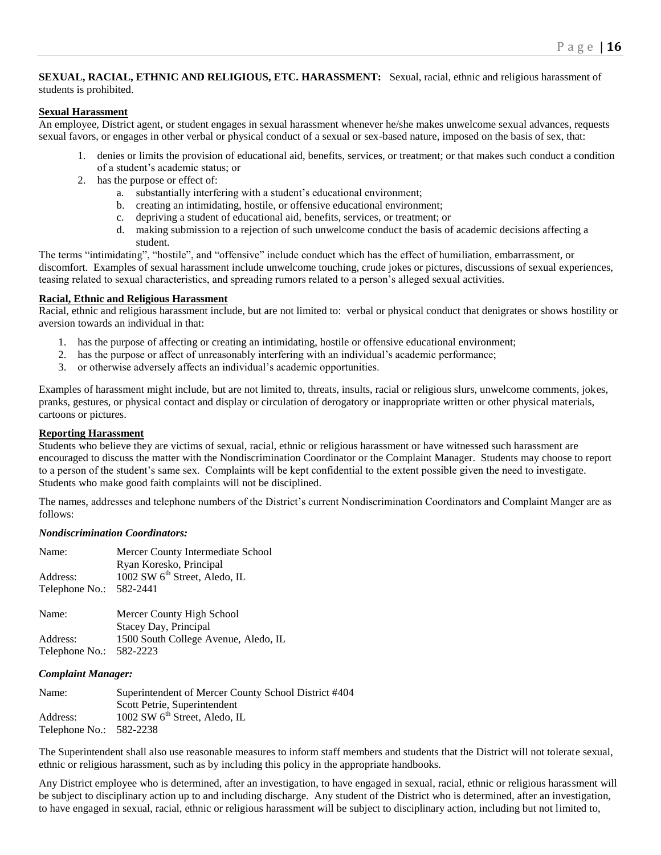## **SEXUAL, RACIAL, ETHNIC AND RELIGIOUS, ETC. HARASSMENT:** Sexual, racial, ethnic and religious harassment of students is prohibited.

## **Sexual Harassment**

An employee, District agent, or student engages in sexual harassment whenever he/she makes unwelcome sexual advances, requests sexual favors, or engages in other verbal or physical conduct of a sexual or sex-based nature, imposed on the basis of sex, that:

- 1. denies or limits the provision of educational aid, benefits, services, or treatment; or that makes such conduct a condition of a student's academic status; or
- 2. has the purpose or effect of:
	- a. substantially interfering with a student's educational environment;
	- b. creating an intimidating, hostile, or offensive educational environment;
	- c. depriving a student of educational aid, benefits, services, or treatment; or
	- d. making submission to a rejection of such unwelcome conduct the basis of academic decisions affecting a student.

The terms "intimidating", "hostile", and "offensive" include conduct which has the effect of humiliation, embarrassment, or discomfort. Examples of sexual harassment include unwelcome touching, crude jokes or pictures, discussions of sexual experiences, teasing related to sexual characteristics, and spreading rumors related to a person's alleged sexual activities.

## **Racial, Ethnic and Religious Harassment**

Racial, ethnic and religious harassment include, but are not limited to: verbal or physical conduct that denigrates or shows hostility or aversion towards an individual in that:

- 1. has the purpose of affecting or creating an intimidating, hostile or offensive educational environment;
- 2. has the purpose or affect of unreasonably interfering with an individual's academic performance;
- 3. or otherwise adversely affects an individual's academic opportunities.

Examples of harassment might include, but are not limited to, threats, insults, racial or religious slurs, unwelcome comments, jokes, pranks, gestures, or physical contact and display or circulation of derogatory or inappropriate written or other physical materials, cartoons or pictures.

## **Reporting Harassment**

Students who believe they are victims of sexual, racial, ethnic or religious harassment or have witnessed such harassment are encouraged to discuss the matter with the Nondiscrimination Coordinator or the Complaint Manager. Students may choose to report to a person of the student's same sex. Complaints will be kept confidential to the extent possible given the need to investigate. Students who make good faith complaints will not be disciplined.

The names, addresses and telephone numbers of the District's current Nondiscrimination Coordinators and Complaint Manger are as follows:

## *Nondiscrimination Coordinators:*

| Name:          | Mercer County Intermediate School<br>Ryan Koresko, Principal  |
|----------------|---------------------------------------------------------------|
| Address:       | 1002 SW 6 <sup>th</sup> Street, Aledo, IL                     |
| Telephone No.: | 582-2441                                                      |
| Name:          | Mercer County High School                                     |
| Address:       | Stacey Day, Principal<br>1500 South College Avenue, Aledo, IL |
|                |                                                               |
| Telephone No.: | 582-2223                                                      |

## *Complaint Manager:*

| Superintendent of Mercer County School District #404 |
|------------------------------------------------------|
| Scott Petrie, Superintendent                         |
| 1002 SW 6 <sup>th</sup> Street, Aledo, IL            |
| Telephone No.: $582-2238$                            |
|                                                      |

The Superintendent shall also use reasonable measures to inform staff members and students that the District will not tolerate sexual, ethnic or religious harassment, such as by including this policy in the appropriate handbooks.

Any District employee who is determined, after an investigation, to have engaged in sexual, racial, ethnic or religious harassment will be subject to disciplinary action up to and including discharge. Any student of the District who is determined, after an investigation, to have engaged in sexual, racial, ethnic or religious harassment will be subject to disciplinary action, including but not limited to,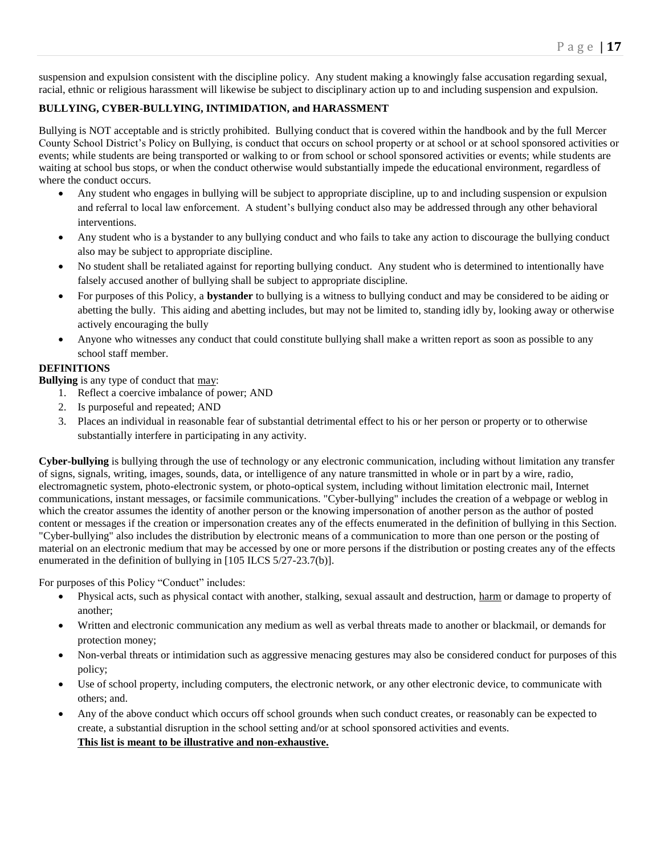suspension and expulsion consistent with the discipline policy. Any student making a knowingly false accusation regarding sexual, racial, ethnic or religious harassment will likewise be subject to disciplinary action up to and including suspension and expulsion.

## **BULLYING, CYBER-BULLYING, INTIMIDATION, and HARASSMENT**

Bullying is NOT acceptable and is strictly prohibited. Bullying conduct that is covered within the handbook and by the full Mercer County School District's Policy on Bullying, is conduct that occurs on school property or at school or at school sponsored activities or events; while students are being transported or walking to or from school or school sponsored activities or events; while students are waiting at school bus stops, or when the conduct otherwise would substantially impede the educational environment, regardless of where the conduct occurs.

- Any student who engages in bullying will be subject to appropriate discipline, up to and including suspension or expulsion and referral to local law enforcement. A student's bullying conduct also may be addressed through any other behavioral interventions.
- Any student who is a bystander to any bullying conduct and who fails to take any action to discourage the bullying conduct also may be subject to appropriate discipline.
- No student shall be retaliated against for reporting bullying conduct. Any student who is determined to intentionally have falsely accused another of bullying shall be subject to appropriate discipline.
- For purposes of this Policy, a **bystander** to bullying is a witness to bullying conduct and may be considered to be aiding or abetting the bully. This aiding and abetting includes, but may not be limited to, standing idly by, looking away or otherwise actively encouraging the bully
- Anyone who witnesses any conduct that could constitute bullying shall make a written report as soon as possible to any school staff member.

## **DEFINITIONS**

**Bullying** is any type of conduct that may:

- 1. Reflect a coercive imbalance of power; AND
- 2. Is purposeful and repeated; AND
- 3. Places an individual in reasonable fear of substantial detrimental effect to his or her person or property or to otherwise substantially interfere in participating in any activity.

**Cyber-bullying** is bullying through the use of technology or any electronic communication, including without limitation any transfer of signs, signals, writing, images, sounds, data, or intelligence of any nature transmitted in whole or in part by a wire, radio, electromagnetic system, photo-electronic system, or photo-optical system, including without limitation electronic mail, Internet communications, instant messages, or facsimile communications. "Cyber-bullying" includes the creation of a webpage or weblog in which the creator assumes the identity of another person or the knowing impersonation of another person as the author of posted content or messages if the creation or impersonation creates any of the effects enumerated in the definition of bullying in this Section. "Cyber-bullying" also includes the distribution by electronic means of a communication to more than one person or the posting of material on an electronic medium that may be accessed by one or more persons if the distribution or posting creates any of the effects enumerated in the definition of bullying in [105 ILCS 5/27-23.7(b)].

For purposes of this Policy "Conduct" includes:

- Physical acts, such as physical contact with another, stalking, sexual assault and destruction, harm or damage to property of another;
- Written and electronic communication any medium as well as verbal threats made to another or blackmail, or demands for protection money;
- Non-verbal threats or intimidation such as aggressive menacing gestures may also be considered conduct for purposes of this policy;
- Use of school property, including computers, the electronic network, or any other electronic device, to communicate with others; and.
- Any of the above conduct which occurs off school grounds when such conduct creates, or reasonably can be expected to create, a substantial disruption in the school setting and/or at school sponsored activities and events. **This list is meant to be illustrative and non-exhaustive.**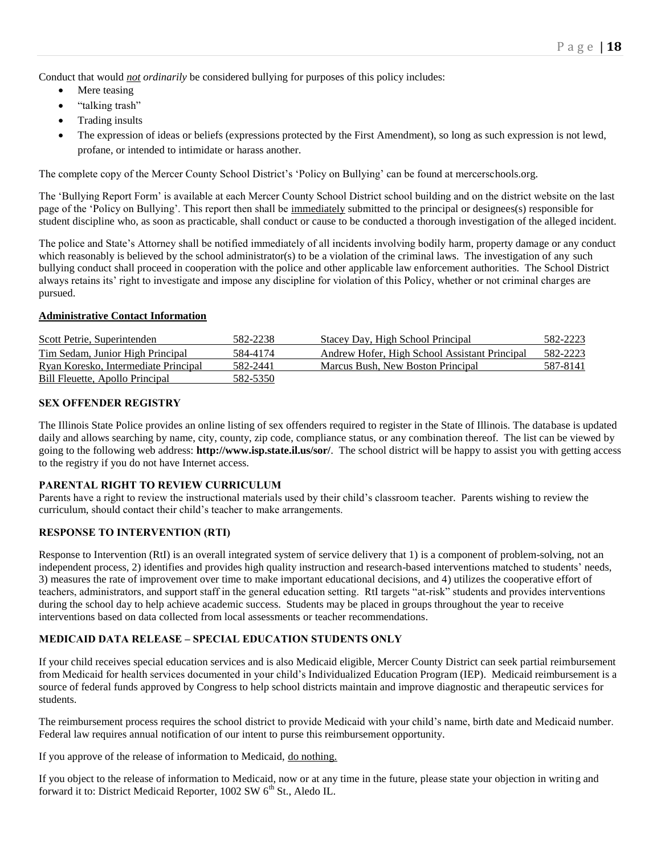Conduct that would *not ordinarily* be considered bullying for purposes of this policy includes:

- Mere teasing
- "talking trash"
- Trading insults
- The expression of ideas or beliefs (expressions protected by the First Amendment), so long as such expression is not lewd, profane, or intended to intimidate or harass another.

The complete copy of the Mercer County School District's 'Policy on Bullying' can be found at mercerschools.org.

The 'Bullying Report Form' is available at each Mercer County School District school building and on the district website on the last page of the 'Policy on Bullying'. This report then shall be immediately submitted to the principal or designees(s) responsible for student discipline who, as soon as practicable, shall conduct or cause to be conducted a thorough investigation of the alleged incident.

The police and State's Attorney shall be notified immediately of all incidents involving bodily harm, property damage or any conduct which reasonably is believed by the school administrator(s) to be a violation of the criminal laws. The investigation of any such bullying conduct shall proceed in cooperation with the police and other applicable law enforcement authorities. The School District always retains its' right to investigate and impose any discipline for violation of this Policy, whether or not criminal charges are pursued.

## **Administrative Contact Information**

| Scott Petrie, Superintenden          | 582-2238 | Stacey Day, High School Principal             | 582-2223 |
|--------------------------------------|----------|-----------------------------------------------|----------|
| Tim Sedam, Junior High Principal     | 584-4174 | Andrew Hofer, High School Assistant Principal | 582-2223 |
| Ryan Koresko, Intermediate Principal | 582-2441 | Marcus Bush, New Boston Principal             | 587-8141 |
| Bill Fleuette, Apollo Principal      | 582-5350 |                                               |          |

## **SEX OFFENDER REGISTRY**

The Illinois State Police provides an online listing of sex offenders required to register in the State of Illinois. The database is updated daily and allows searching by name, city, county, zip code, compliance status, or any combination thereof. The list can be viewed by going to the following web address: **http://www.isp.state.il.us/sor/**. The school district will be happy to assist you with getting access to the registry if you do not have Internet access.

## **PARENTAL RIGHT TO REVIEW CURRICULUM**

Parents have a right to review the instructional materials used by their child's classroom teacher. Parents wishing to review the curriculum, should contact their child's teacher to make arrangements.

## **RESPONSE TO INTERVENTION (RTI)**

Response to Intervention (RtI) is an overall integrated system of service delivery that 1) is a component of problem-solving, not an independent process, 2) identifies and provides high quality instruction and research-based interventions matched to students' needs, 3) measures the rate of improvement over time to make important educational decisions, and 4) utilizes the cooperative effort of teachers, administrators, and support staff in the general education setting. RtI targets "at-risk" students and provides interventions during the school day to help achieve academic success. Students may be placed in groups throughout the year to receive interventions based on data collected from local assessments or teacher recommendations.

## **MEDICAID DATA RELEASE – SPECIAL EDUCATION STUDENTS ONLY**

If your child receives special education services and is also Medicaid eligible, Mercer County District can seek partial reimbursement from Medicaid for health services documented in your child's Individualized Education Program (IEP). Medicaid reimbursement is a source of federal funds approved by Congress to help school districts maintain and improve diagnostic and therapeutic services for students.

The reimbursement process requires the school district to provide Medicaid with your child's name, birth date and Medicaid number. Federal law requires annual notification of our intent to purse this reimbursement opportunity.

If you approve of the release of information to Medicaid, do nothing.

If you object to the release of information to Medicaid, now or at any time in the future, please state your objection in writing and forward it to: District Medicaid Reporter, 1002 SW 6<sup>th</sup> St., Aledo IL.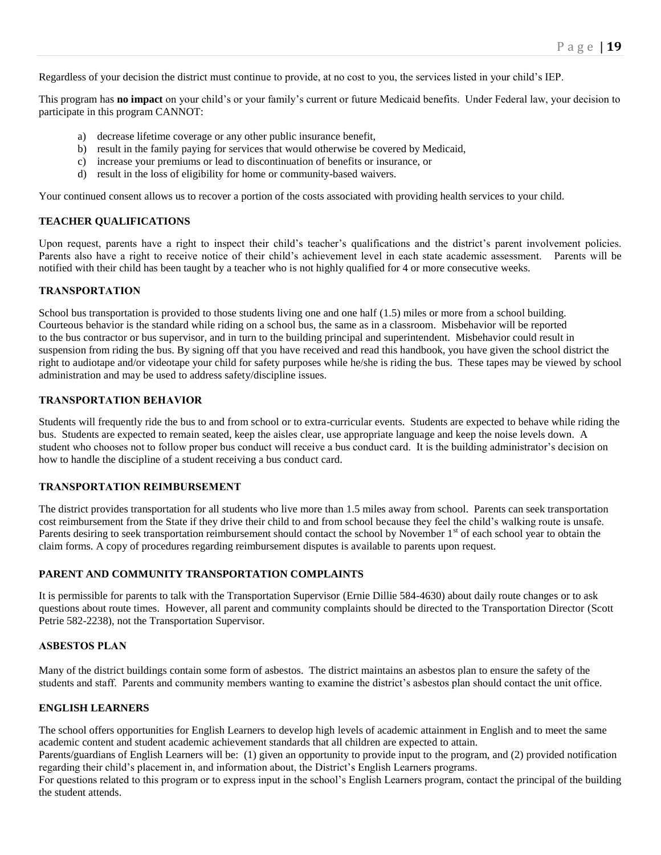Regardless of your decision the district must continue to provide, at no cost to you, the services listed in your child's IEP.

This program has **no impact** on your child's or your family's current or future Medicaid benefits. Under Federal law, your decision to participate in this program CANNOT:

- a) decrease lifetime coverage or any other public insurance benefit,
- b) result in the family paying for services that would otherwise be covered by Medicaid,
- c) increase your premiums or lead to discontinuation of benefits or insurance, or
- d) result in the loss of eligibility for home or community-based waivers.

Your continued consent allows us to recover a portion of the costs associated with providing health services to your child.

#### **TEACHER QUALIFICATIONS**

Upon request, parents have a right to inspect their child's teacher's qualifications and the district's parent involvement policies. Parents also have a right to receive notice of their child's achievement level in each state academic assessment. Parents will be notified with their child has been taught by a teacher who is not highly qualified for 4 or more consecutive weeks.

#### **TRANSPORTATION**

School bus transportation is provided to those students living one and one half (1.5) miles or more from a school building. Courteous behavior is the standard while riding on a school bus, the same as in a classroom. Misbehavior will be reported to the bus contractor or bus supervisor, and in turn to the building principal and superintendent. Misbehavior could result in suspension from riding the bus. By signing off that you have received and read this handbook, you have given the school district the right to audiotape and/or videotape your child for safety purposes while he/she is riding the bus. These tapes may be viewed by school administration and may be used to address safety/discipline issues.

#### **TRANSPORTATION BEHAVIOR**

Students will frequently ride the bus to and from school or to extra-curricular events. Students are expected to behave while riding the bus. Students are expected to remain seated, keep the aisles clear, use appropriate language and keep the noise levels down. A student who chooses not to follow proper bus conduct will receive a bus conduct card. It is the building administrator's decision on how to handle the discipline of a student receiving a bus conduct card.

## **TRANSPORTATION REIMBURSEMENT**

The district provides transportation for all students who live more than 1.5 miles away from school. Parents can seek transportation cost reimbursement from the State if they drive their child to and from school because they feel the child's walking route is unsafe. Parents desiring to seek transportation reimbursement should contact the school by November  $1<sup>st</sup>$  of each school year to obtain the claim forms. A copy of procedures regarding reimbursement disputes is available to parents upon request.

## **PARENT AND COMMUNITY TRANSPORTATION COMPLAINTS**

It is permissible for parents to talk with the Transportation Supervisor (Ernie Dillie 584-4630) about daily route changes or to ask questions about route times. However, all parent and community complaints should be directed to the Transportation Director (Scott Petrie 582-2238), not the Transportation Supervisor.

#### **ASBESTOS PLAN**

Many of the district buildings contain some form of asbestos. The district maintains an asbestos plan to ensure the safety of the students and staff. Parents and community members wanting to examine the district's asbestos plan should contact the unit office.

#### **ENGLISH LEARNERS**

The school offers opportunities for English Learners to develop high levels of academic attainment in English and to meet the same academic content and student academic achievement standards that all children are expected to attain.

Parents/guardians of English Learners will be: (1) given an opportunity to provide input to the program, and (2) provided notification regarding their child's placement in, and information about, the District's English Learners programs.

For questions related to this program or to express input in the school's English Learners program, contact the principal of the building the student attends.